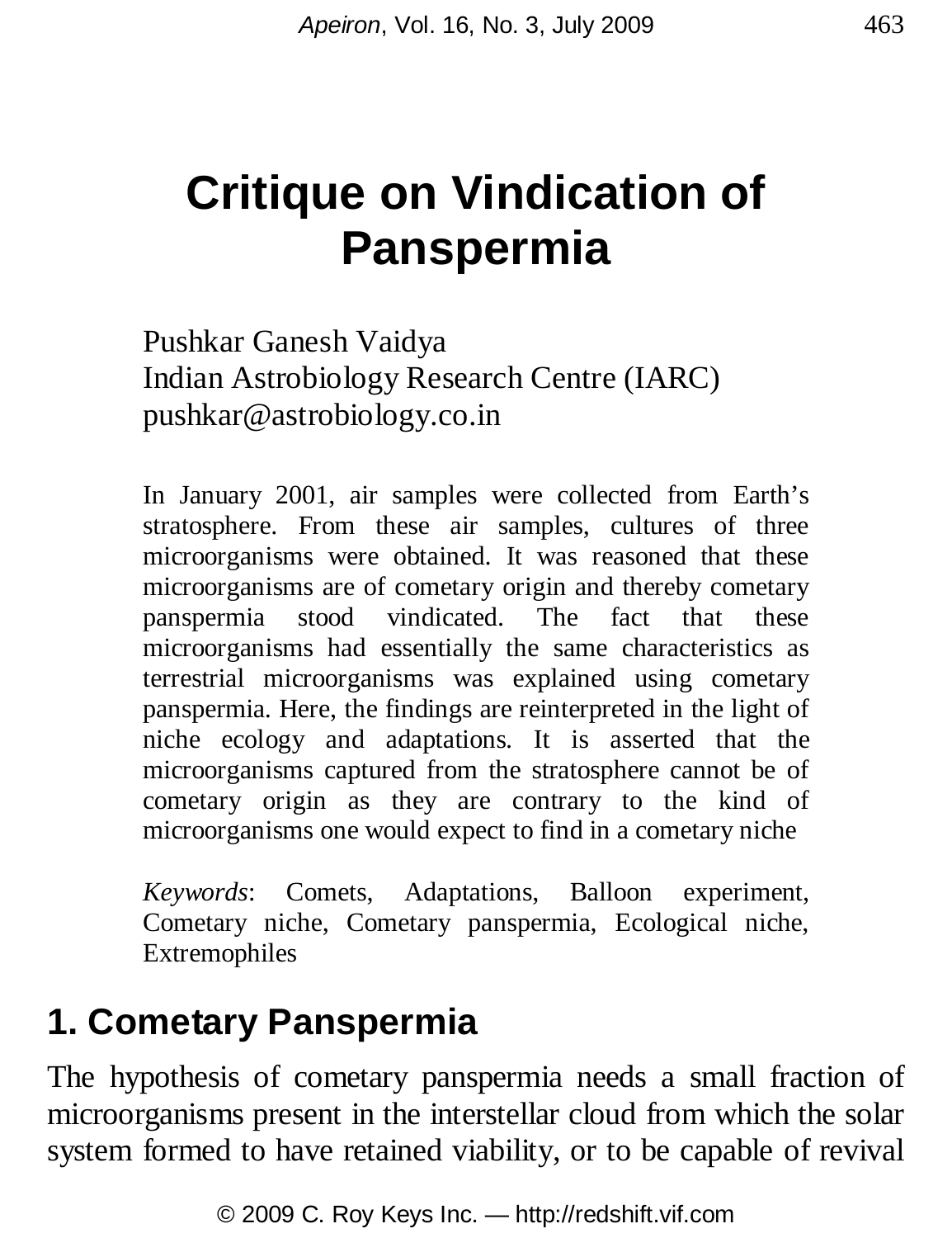# **Critique on Vindication of Panspermia**

Pushkar Ganesh Vaidya Indian Astrobiology Research Centre (IARC) pushkar@astrobiology.co.in

In January 2001, air samples were collected from Earth's stratosphere. From these air samples, cultures of three microorganisms were obtained. It was reasoned that these microorganisms are of cometary origin and thereby cometary panspermia stood vindicated. The fact that these microorganisms had essentially the same characteristics as terrestrial microorganisms was explained using cometary panspermia. Here, the findings are reinterpreted in the light of niche ecology and adaptations. It is asserted that the microorganisms captured from the stratosphere cannot be of cometary origin as they are contrary to the kind of microorganisms one would expect to find in a cometary niche

*Keywords*: Comets, Adaptations, Balloon experiment, Cometary niche, Cometary panspermia, Ecological niche, Extremophiles

## **1. Cometary Panspermia**

The hypothesis of cometary panspermia needs a small fraction of microorganisms present in the interstellar cloud from which the solar system formed to have retained viability, or to be capable of revival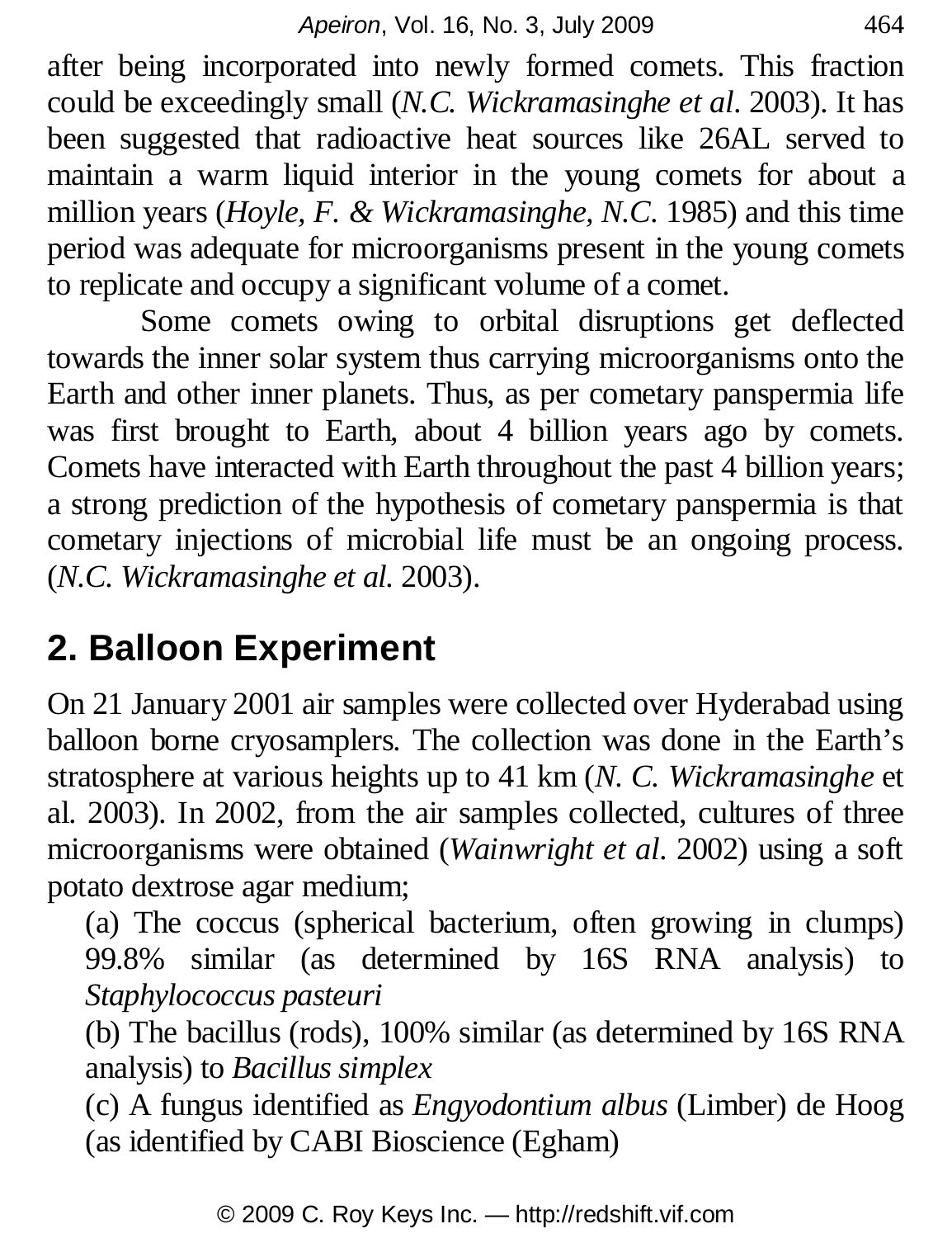after being incorporated into newly formed comets. This fraction could be exceedingly small (*N.C. Wickramasinghe et al*. 2003). It has been suggested that radioactive heat sources like 26AL served to maintain a warm liquid interior in the young comets for about a million years (*Hoyle, F. & Wickramasinghe, N.C*. 1985) and this time period was adequate for microorganisms present in the young comets to replicate and occupy a significant volume of a comet.

Some comets owing to orbital disruptions get deflected towards the inner solar system thus carrying microorganisms onto the Earth and other inner planets. Thus, as per cometary panspermia life was first brought to Earth, about 4 billion years ago by comets. Comets have interacted with Earth throughout the past 4 billion years; a strong prediction of the hypothesis of cometary panspermia is that cometary injections of microbial life must be an ongoing process. (*N.C. Wickramasinghe et al.* 2003).

## **2. Balloon Experiment**

On 21 January 2001 air samples were collected over Hyderabad using balloon borne cryosamplers. The collection was done in the Earth's stratosphere at various heights up to 41 km (*N. C. Wickramasinghe* et al. 2003). In 2002, from the air samples collected, cultures of three microorganisms were obtained (*Wainwright et al*. 2002) using a soft potato dextrose agar medium;

(a) The coccus (spherical bacterium, often growing in clumps) 99.8% similar (as determined by 16S RNA analysis) to *Staphylococcus pasteuri*

(b) The bacillus (rods), 100% similar (as determined by 16S RNA analysis) to *Bacillus simplex*

(c) A fungus identified as *Engyodontium albus* (Limber) de Hoog (as identified by CABI Bioscience (Egham)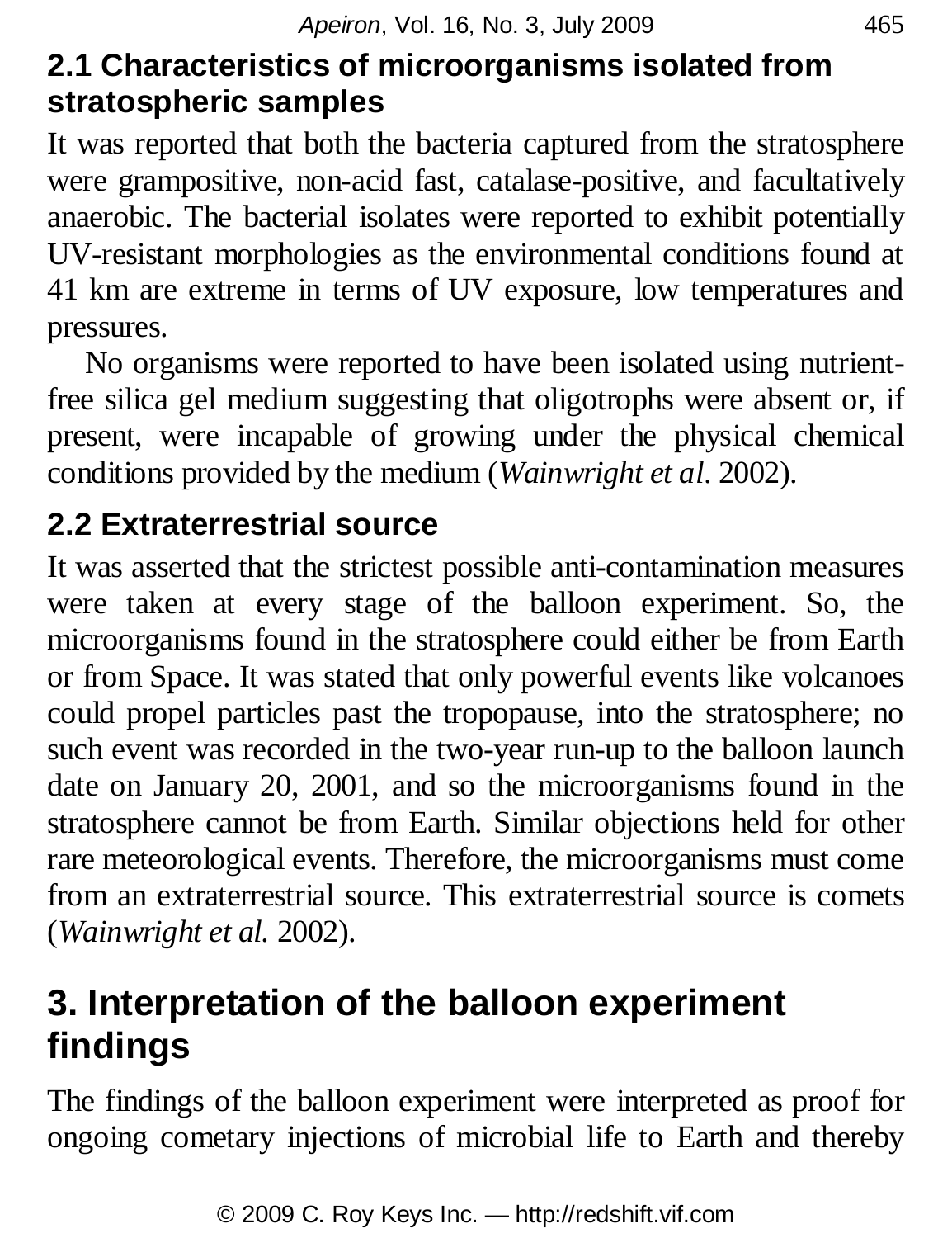### **2.1 Characteristics of microorganisms isolated from stratospheric samples**

It was reported that both the bacteria captured from the stratosphere were grampositive, non-acid fast, catalase-positive, and facultatively anaerobic. The bacterial isolates were reported to exhibit potentially UV-resistant morphologies as the environmental conditions found at 41 km are extreme in terms of UV exposure, low temperatures and pressures.

No organisms were reported to have been isolated using nutrientfree silica gel medium suggesting that oligotrophs were absent or, if present, were incapable of growing under the physical chemical conditions provided by the medium (*Wainwright et al*. 2002).

### **2.2 Extraterrestrial source**

It was asserted that the strictest possible anti-contamination measures were taken at every stage of the balloon experiment. So, the microorganisms found in the stratosphere could either be from Earth or from Space. It was stated that only powerful events like volcanoes could propel particles past the tropopause, into the stratosphere; no such event was recorded in the two-year run-up to the balloon launch date on January 20, 2001, and so the microorganisms found in the stratosphere cannot be from Earth. Similar objections held for other rare meteorological events. Therefore, the microorganisms must come from an extraterrestrial source. This extraterrestrial source is comets (*Wainwright et al.* 2002).

## **3. Interpretation of the balloon experiment findings**

The findings of the balloon experiment were interpreted as proof for ongoing cometary injections of microbial life to Earth and thereby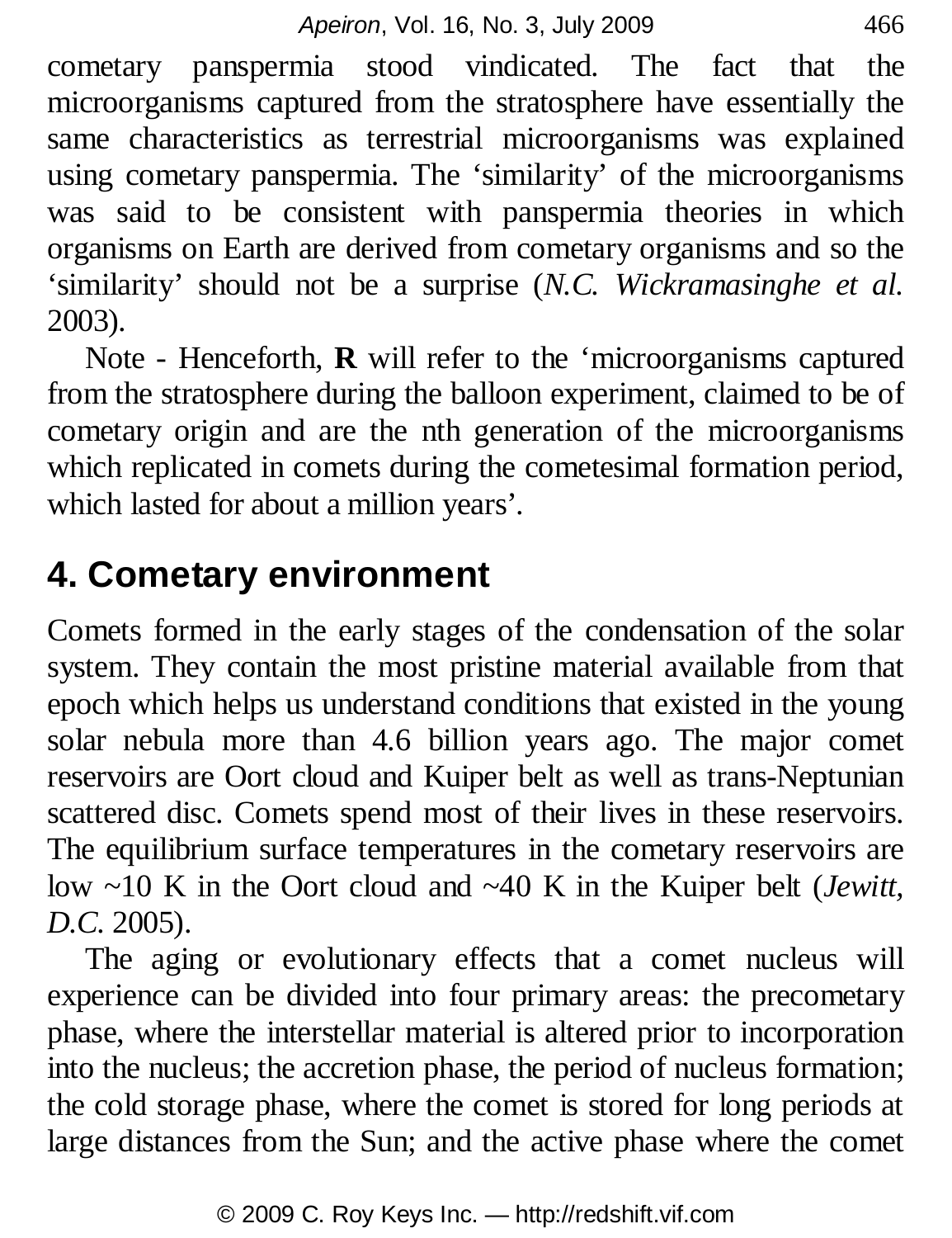cometary panspermia stood vindicated. The fact that the microorganisms captured from the stratosphere have essentially the same characteristics as terrestrial microorganisms was explained using cometary panspermia. The 'similarity' of the microorganisms was said to be consistent with panspermia theories in which organisms on Earth are derived from cometary organisms and so the 'similarity' should not be a surprise (*N.C. Wickramasinghe et al.* 2003).

Note - Henceforth, **R** will refer to the 'microorganisms captured from the stratosphere during the balloon experiment, claimed to be of cometary origin and are the nth generation of the microorganisms which replicated in comets during the cometesimal formation period, which lasted for about a million years'.

## **4. Cometary environment**

Comets formed in the early stages of the condensation of the solar system. They contain the most pristine material available from that epoch which helps us understand conditions that existed in the young solar nebula more than 4.6 billion years ago. The major comet reservoirs are Oort cloud and Kuiper belt as well as trans-Neptunian scattered disc. Comets spend most of their lives in these reservoirs. The equilibrium surface temperatures in the cometary reservoirs are low ~10 K in the Oort cloud and ~40 K in the Kuiper belt (*Jewitt, D.C.* 2005).

The aging or evolutionary effects that a comet nucleus will experience can be divided into four primary areas: the precometary phase, where the interstellar material is altered prior to incorporation into the nucleus; the accretion phase, the period of nucleus formation; the cold storage phase, where the comet is stored for long periods at large distances from the Sun; and the active phase where the comet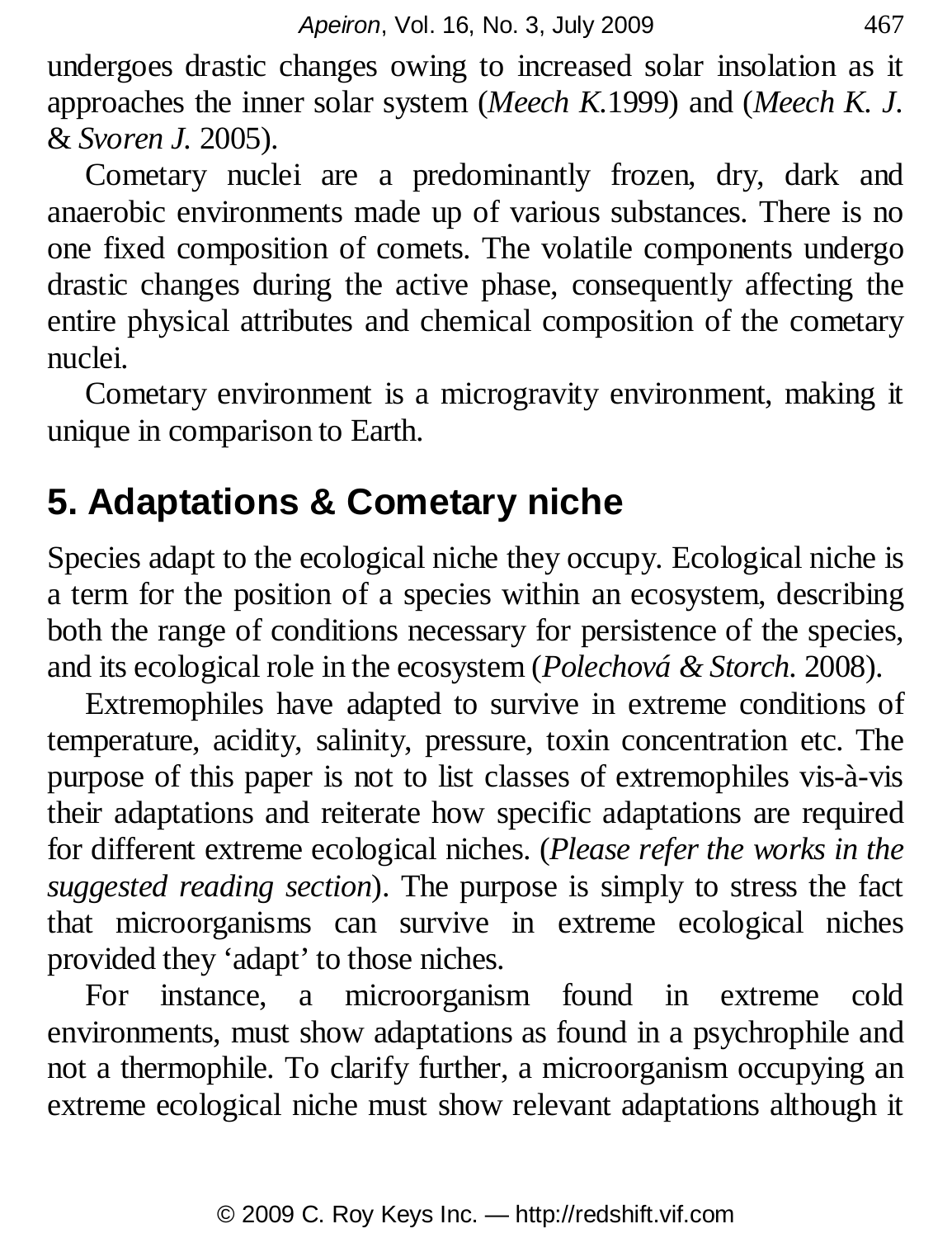undergoes drastic changes owing to increased solar insolation as it approaches the inner solar system (*Meech K.*1999) and (*Meech K. J.* & *Svoren J.* 2005).

Cometary nuclei are a predominantly frozen, dry, dark and anaerobic environments made up of various substances. There is no one fixed composition of comets. The volatile components undergo drastic changes during the active phase, consequently affecting the entire physical attributes and chemical composition of the cometary nuclei.

Cometary environment is a microgravity environment, making it unique in comparison to Earth.

## **5. Adaptations & Cometary niche**

Species adapt to the ecological niche they occupy. Ecological niche is a term for the position of a species within an ecosystem, describing both the range of conditions necessary for persistence of the species, and its ecological role in the ecosystem (*Polechová & Storch.* 2008).

Extremophiles have adapted to survive in extreme conditions of temperature, acidity, salinity, pressure, toxin concentration etc. The purpose of this paper is not to list classes of extremophiles vis-à-vis their adaptations and reiterate how specific adaptations are required for different extreme ecological niches. (*Please refer the works in the suggested reading section*). The purpose is simply to stress the fact that microorganisms can survive in extreme ecological niches provided they 'adapt' to those niches.

For instance, a microorganism found in extreme cold environments, must show adaptations as found in a psychrophile and not a thermophile. To clarify further, a microorganism occupying an extreme ecological niche must show relevant adaptations although it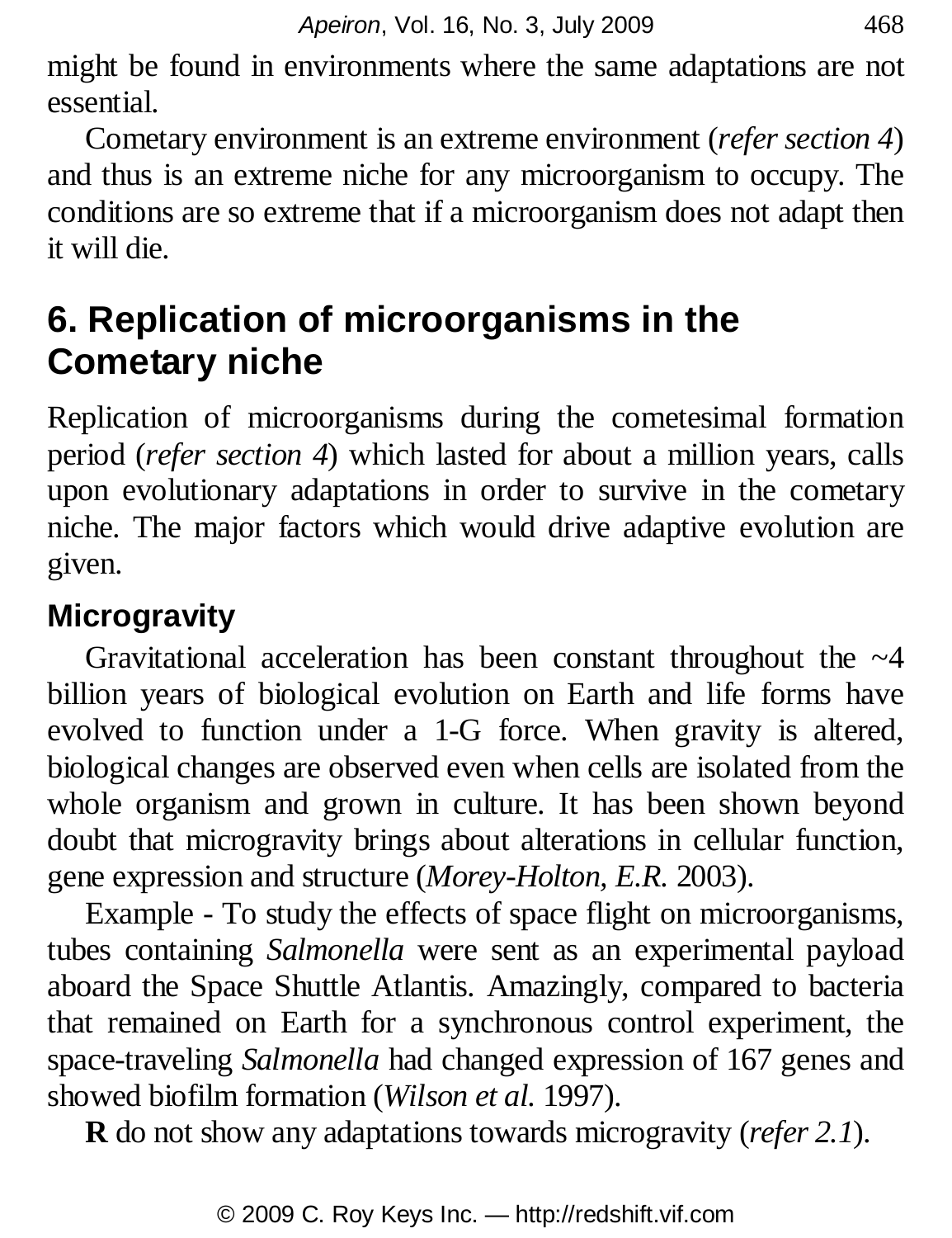might be found in environments where the same adaptations are not essential.

Cometary environment is an extreme environment (*refer section 4*) and thus is an extreme niche for any microorganism to occupy. The conditions are so extreme that if a microorganism does not adapt then it will die.

## **6. Replication of microorganisms in the Cometary niche**

Replication of microorganisms during the cometesimal formation period (*refer section 4*) which lasted for about a million years, calls upon evolutionary adaptations in order to survive in the cometary niche. The major factors which would drive adaptive evolution are given.

### **Microgravity**

Gravitational acceleration has been constant throughout the  $\sim$ 4 billion years of biological evolution on Earth and life forms have evolved to function under a 1-G force. When gravity is altered, biological changes are observed even when cells are isolated from the whole organism and grown in culture. It has been shown beyond doubt that microgravity brings about alterations in cellular function, gene expression and structure (*Morey-Holton, E.R.* 2003).

Example - To study the effects of space flight on microorganisms, tubes containing *Salmonella* were sent as an experimental payload aboard the Space Shuttle Atlantis. Amazingly, compared to bacteria that remained on Earth for a synchronous control experiment, the space-traveling *Salmonella* had changed expression of 167 genes and showed biofilm formation (*Wilson et al.* 1997).

**R** do not show any adaptations towards microgravity (*refer 2.1*).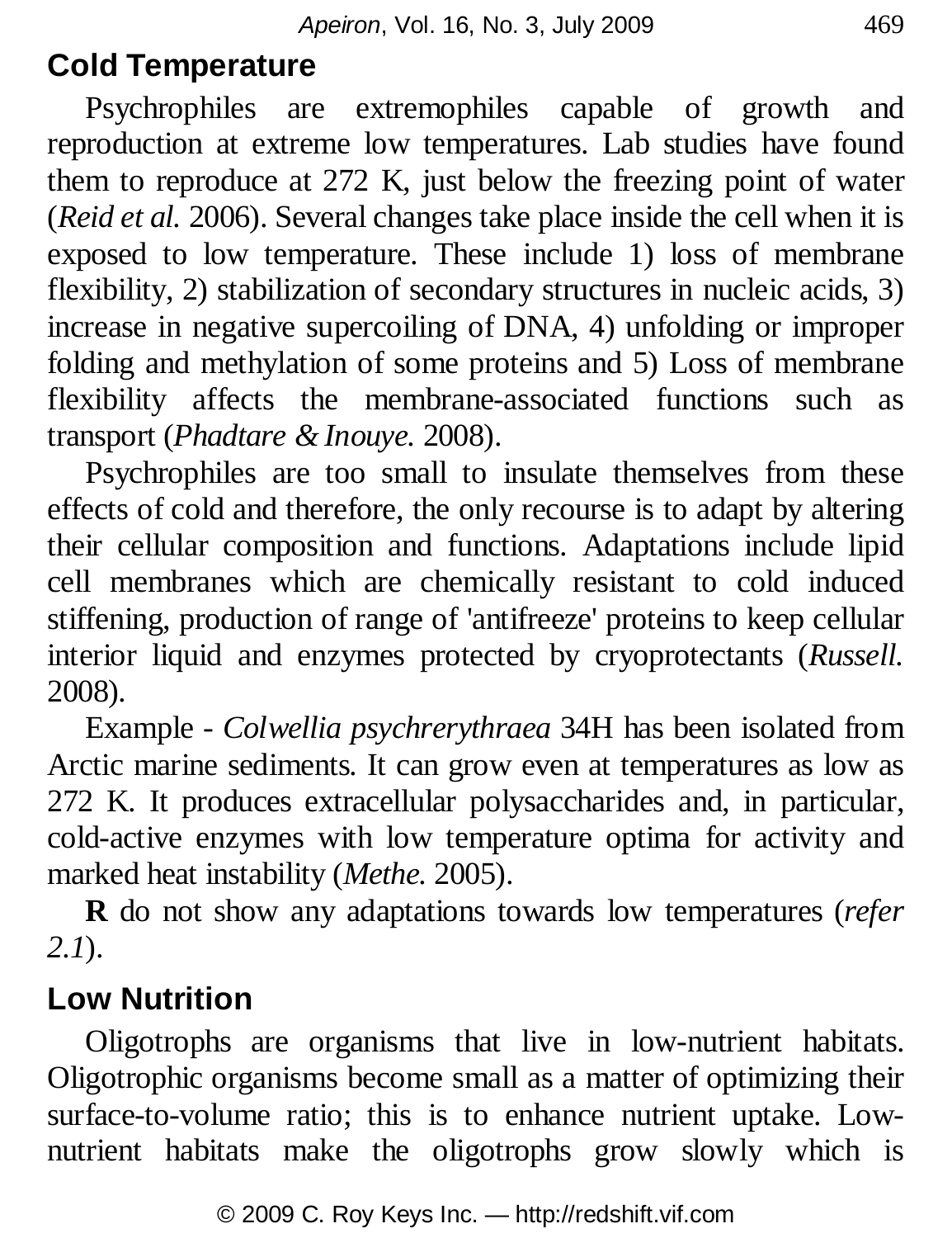#### **Cold Temperature**

Psychrophiles are extremophiles capable of growth and reproduction at extreme low temperatures. Lab studies have found them to reproduce at 272 K, just below the freezing point of water (*Reid et al.* 2006). Several changes take place inside the cell when it is exposed to low temperature. These include 1) loss of membrane flexibility, 2) stabilization of secondary structures in nucleic acids, 3) increase in negative supercoiling of DNA, 4) unfolding or improper folding and methylation of some proteins and 5) Loss of membrane flexibility affects the membrane-associated functions such as transport (*Phadtare & Inouye.* 2008).

Psychrophiles are too small to insulate themselves from these effects of cold and therefore, the only recourse is to adapt by altering their cellular composition and functions. Adaptations include lipid cell membranes which are chemically resistant to cold induced stiffening, production of range of 'antifreeze' proteins to keep cellular interior liquid and enzymes protected by cryoprotectants (*Russell.* 2008).

Example - *Colwellia psychrerythraea* 34H has been isolated from Arctic marine sediments. It can grow even at temperatures as low as 272 K. It produces extracellular polysaccharides and, in particular, cold-active enzymes with low temperature optima for activity and marked heat instability (*Methe.* 2005).

**R** do not show any adaptations towards low temperatures (*refer 2.1*).

#### **Low Nutrition**

Oligotrophs are organisms that live in low-nutrient habitats. Oligotrophic organisms become small as a matter of optimizing their surface-to-volume ratio; this is to enhance nutrient uptake. Lownutrient habitats make the oligotrophs grow slowly which is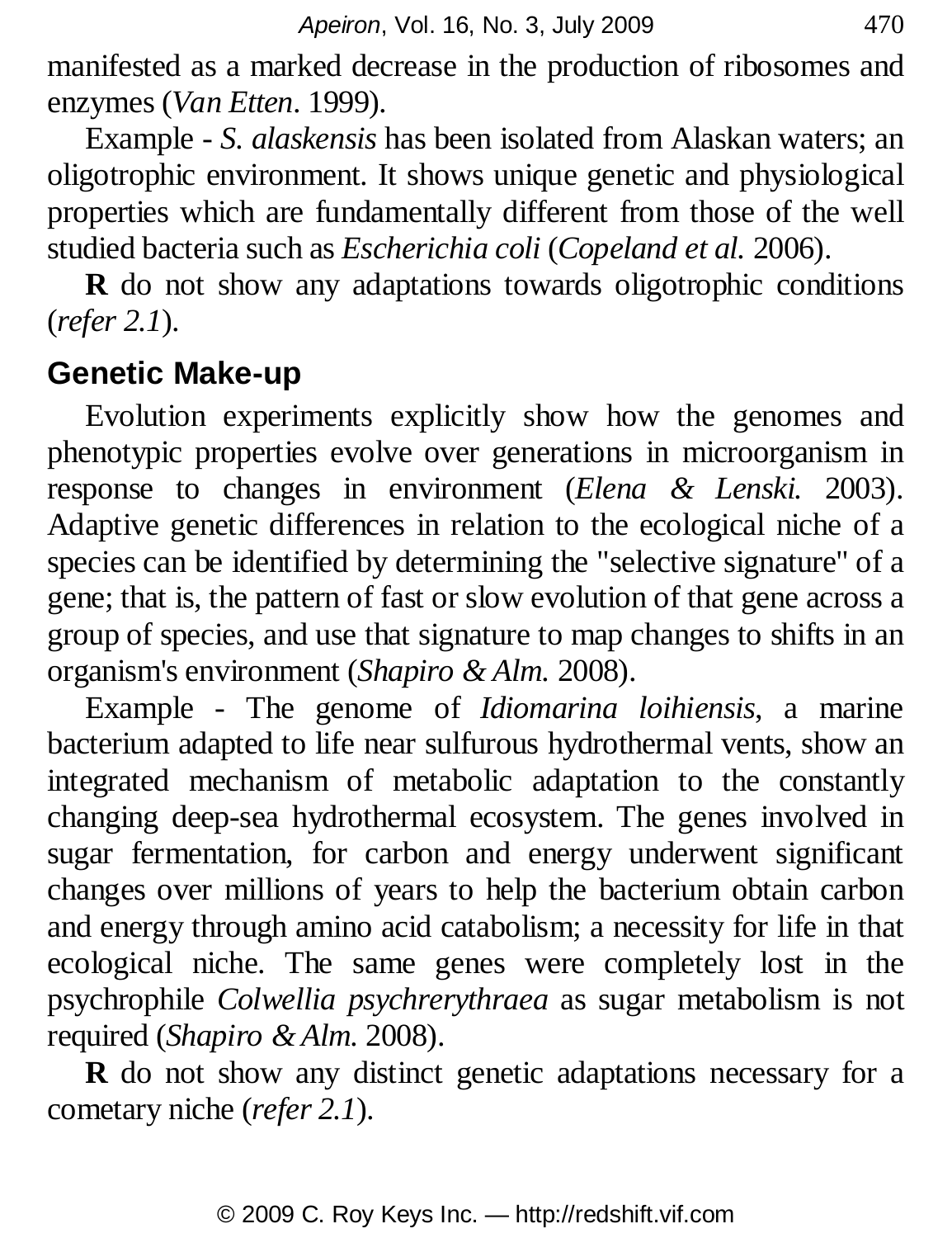manifested as a marked decrease in the production of ribosomes and enzymes (*Van Etten*. 1999).

Example - *S. alaskensis* has been isolated from Alaskan waters; an oligotrophic environment. It shows unique genetic and physiological properties which are fundamentally different from those of the well studied bacteria such as *Escherichia coli* (*Copeland et al.* 2006).

**R** do not show any adaptations towards oligotrophic conditions (*refer 2.1*).

#### **Genetic Make-up**

Evolution experiments explicitly show how the genomes and phenotypic properties evolve over generations in microorganism in response to changes in environment (*Elena & Lenski.* 2003). Adaptive genetic differences in relation to the ecological niche of a species can be identified by determining the "selective signature" of a gene; that is, the pattern of fast or slow evolution of that gene across a group of species, and use that signature to map changes to shifts in an organism's environment (*Shapiro & Alm.* 2008).

Example - The genome of *Idiomarina loihiensis*, a marine bacterium adapted to life near sulfurous hydrothermal vents, show an integrated mechanism of metabolic adaptation to the constantly changing deep-sea hydrothermal ecosystem. The genes involved in sugar fermentation, for carbon and energy underwent significant changes over millions of years to help the bacterium obtain carbon and energy through amino acid catabolism; a necessity for life in that ecological niche. The same genes were completely lost in the psychrophile *Colwellia psychrerythraea* as sugar metabolism is not required (*Shapiro & Alm.* 2008).

**R** do not show any distinct genetic adaptations necessary for a cometary niche (*refer 2.1*).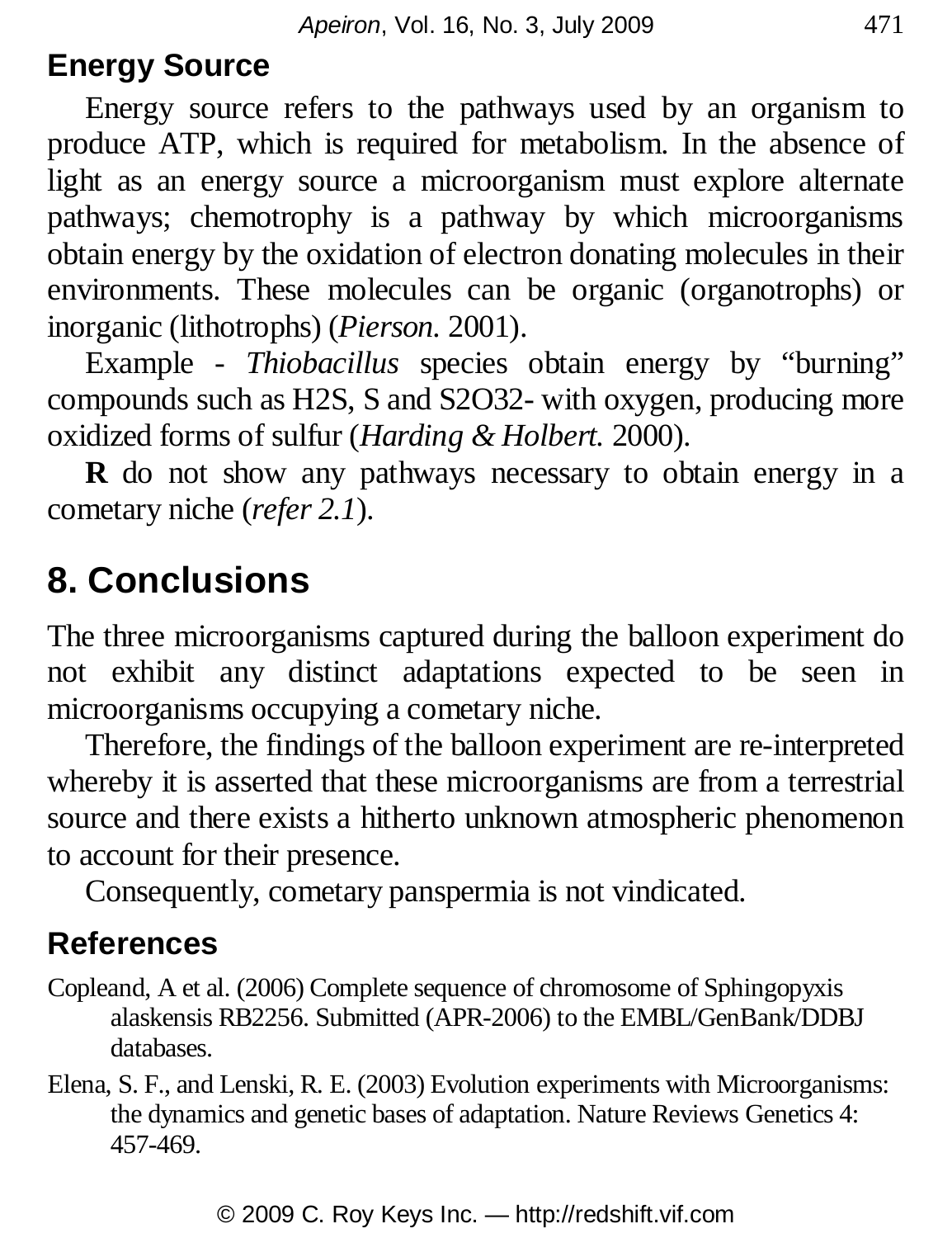#### **Energy Source**

Energy source refers to the pathways used by an organism to produce ATP, which is required for metabolism. In the absence of light as an energy source a microorganism must explore alternate pathways; chemotrophy is a pathway by which microorganisms obtain energy by the oxidation of electron donating molecules in their environments. These molecules can be organic (organotrophs) or inorganic (lithotrophs) (*Pierson.* 2001).

Example - *Thiobacillus* species obtain energy by "burning" compounds such as H2S, S and S2O32- with oxygen, producing more oxidized forms of sulfur (*Harding & Holbert.* 2000).

**R** do not show any pathways necessary to obtain energy in a cometary niche (*refer 2.1*).

## **8. Conclusions**

The three microorganisms captured during the balloon experiment do not exhibit any distinct adaptations expected to be seen in microorganisms occupying a cometary niche.

Therefore, the findings of the balloon experiment are re-interpreted whereby it is asserted that these microorganisms are from a terrestrial source and there exists a hitherto unknown atmospheric phenomenon to account for their presence.

Consequently, cometary panspermia is not vindicated.

#### **References**

- Copleand, A et al. (2006) Complete sequence of chromosome of Sphingopyxis alaskensis RB2256. Submitted (APR-2006) to the EMBL/GenBank/DDBJ databases.
- Elena, S. F., and Lenski, R. E. (2003) Evolution experiments with Microorganisms: the dynamics and genetic bases of adaptation. Nature Reviews Genetics 4: 457-469.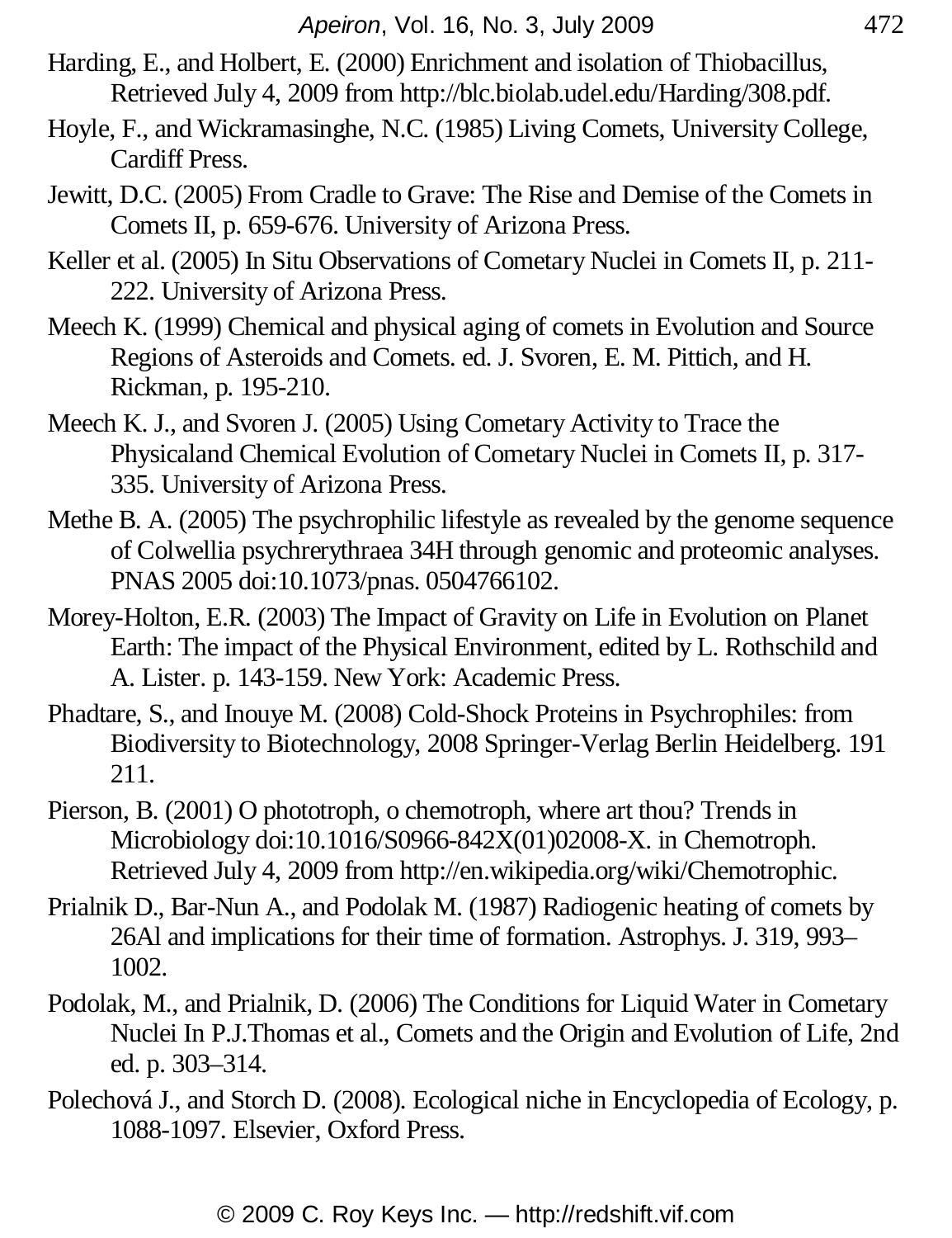- Harding, E., and Holbert, E. (2000) Enrichment and isolation of Thiobacillus, Retrieved July 4, 2009 from http://blc.biolab.udel.edu/Harding/308.pdf.
- Hoyle, F., and Wickramasinghe, N.C. (1985) Living Comets, University College, Cardiff Press.
- Jewitt, D.C. (2005) From Cradle to Grave: The Rise and Demise of the Comets in Comets II, p. 659-676. University of Arizona Press.
- Keller et al. (2005) In Situ Observations of Cometary Nuclei in Comets II, p. 211-222. University of Arizona Press.
- Meech K. (1999) Chemical and physical aging of comets in Evolution and Source Regions of Asteroids and Comets. ed. J. Svoren, E. M. Pittich, and H. Rickman, p. 195-210.
- Meech K. J., and Svoren J. (2005) Using Cometary Activity to Trace the Physicaland Chemical Evolution of Cometary Nuclei in Comets II, p. 317- 335. University of Arizona Press.
- Methe B. A. (2005) The psychrophilic lifestyle as revealed by the genome sequence of Colwellia psychrerythraea 34H through genomic and proteomic analyses. PNAS 2005 doi:10.1073/pnas. 0504766102.
- Morey-Holton, E.R. (2003) The Impact of Gravity on Life in Evolution on Planet Earth: The impact of the Physical Environment, edited by L. Rothschild and A. Lister. p. 143-159. New York: Academic Press.
- Phadtare, S., and Inouye M. (2008) Cold-Shock Proteins in Psychrophiles: from Biodiversity to Biotechnology, 2008 Springer-Verlag Berlin Heidelberg. 191 211.
- Pierson, B. (2001) O phototroph, o chemotroph, where art thou? Trends in Microbiology doi:10.1016/S0966-842X(01)02008-X. in Chemotroph. Retrieved July 4, 2009 from http://en.wikipedia.org/wiki/Chemotrophic.
- Prialnik D., Bar-Nun A., and Podolak M. (1987) Radiogenic heating of comets by 26Al and implications for their time of formation. Astrophys. J. 319, 993– 1002.
- Podolak, M., and Prialnik, D. (2006) The Conditions for Liquid Water in Cometary Nuclei In P.J.Thomas et al., Comets and the Origin and Evolution of Life, 2nd ed. p. 303–314.
- Polechová J., and Storch D. (2008). Ecological niche in Encyclopedia of Ecology, p. 1088-1097. Elsevier, Oxford Press.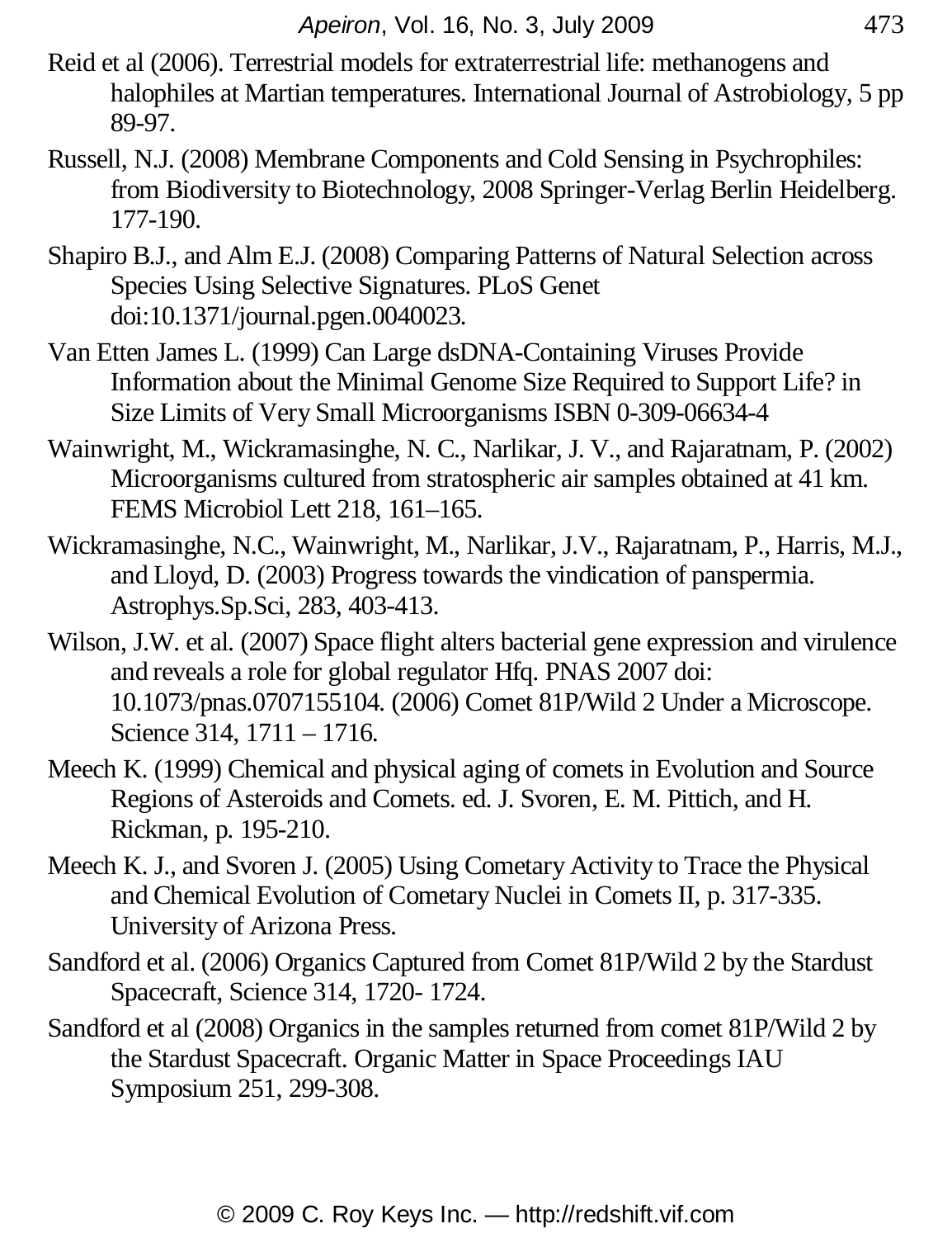- Reid et al (2006). Terrestrial models for extraterrestrial life: methanogens and halophiles at Martian temperatures. International Journal of Astrobiology, 5 pp 89-97.
- Russell, N.J. (2008) Membrane Components and Cold Sensing in Psychrophiles: from Biodiversity to Biotechnology, 2008 Springer-Verlag Berlin Heidelberg. 177-190.
- Shapiro B.J., and Alm E.J. (2008) Comparing Patterns of Natural Selection across Species Using Selective Signatures. PLoS Genet doi:10.1371/journal.pgen.0040023.
- Van Etten James L. (1999) Can Large dsDNA-Containing Viruses Provide Information about the Minimal Genome Size Required to Support Life? in Size Limits of Very Small Microorganisms ISBN 0-309-06634-4
- Wainwright, M., Wickramasinghe, N. C., Narlikar, J. V., and Rajaratnam, P. (2002) Microorganisms cultured from stratospheric air samples obtained at 41 km. FEMS Microbiol Lett 218, 161–165.
- Wickramasinghe, N.C., Wainwright, M., Narlikar, J.V., Rajaratnam, P., Harris, M.J., and Lloyd, D. (2003) Progress towards the vindication of panspermia. Astrophys.Sp.Sci, 283, 403-413.
- Wilson, J.W. et al. (2007) Space flight alters bacterial gene expression and virulence and reveals a role for global regulator Hfq. PNAS 2007 doi: 10.1073/pnas.0707155104. (2006) Comet 81P/Wild 2 Under a Microscope. Science 314, 1711 – 1716.
- Meech K. (1999) Chemical and physical aging of comets in Evolution and Source Regions of Asteroids and Comets. ed. J. Svoren, E. M. Pittich, and H. Rickman, p. 195-210.
- Meech K. J., and Svoren J. (2005) Using Cometary Activity to Trace the Physical and Chemical Evolution of Cometary Nuclei in Comets II, p. 317-335. University of Arizona Press.
- Sandford et al. (2006) Organics Captured from Comet 81P/Wild 2 by the Stardust Spacecraft, Science 314, 1720- 1724.
- Sandford et al (2008) Organics in the samples returned from comet 81P/Wild 2 by the Stardust Spacecraft. Organic Matter in Space Proceedings IAU Symposium 251, 299-308.